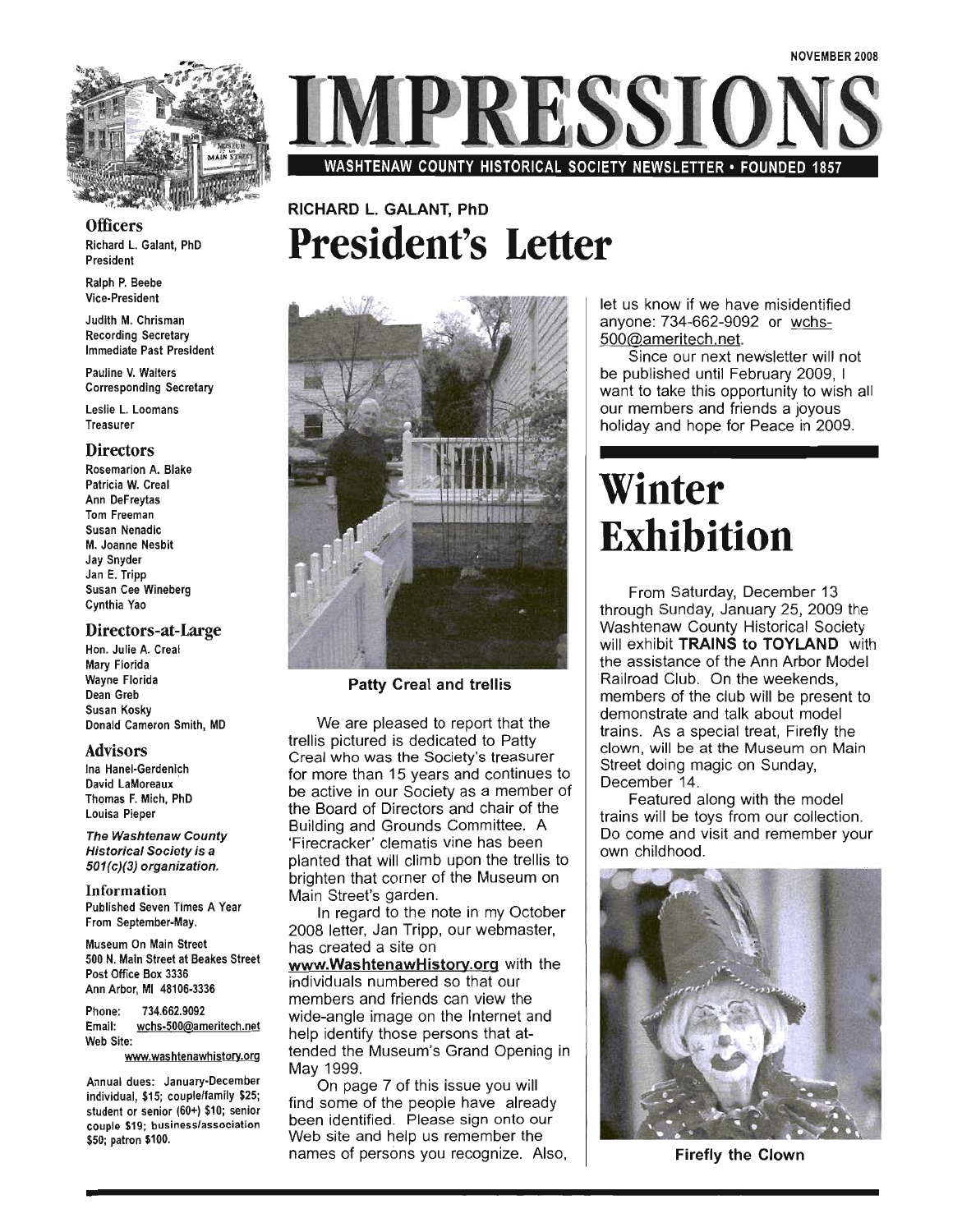

**Officers** Richard L. Galant, PhD  $\frac{p}{p}$ 

Ralph P. Beebe Vice-President

Judith M. Chrisman Recording Secretary Immediate Past President

Pauline V. Walters Corresponding Secretary

Leslie L. Loomans Treasurer

#### **Directors**

Rosemarion A. Blake Patricia W. Creal Ann DeFreytas Tom Freeman Susan Nenadic M. Joanne Nesbit Jay Snyder Jan E. Tripp Susan Cee Wineberg Cynthia Yao

#### Directors-at-Large

Hon. Julie A. Creal Mary Florida Wayne Florida Dean Greb Susan Kosky Donald Cameron Smith, MD

#### Advisors

 $\frac{1}{2}$ a namer-oerdemich David LaMoreaux<br>Thomas F. Mich, PhD Louisa Pieper

The Washtenaw County Historical Society is a 501(c)(3) organization.

Information Published Seven Times A Year From September-May.

Museum On Main Street 500 N. Main Street at Beakes Street Post Office Box 3336 Ann Arbor, MI 48106-3336

Phone: 734.662.9092 Email: wchs-500@ameritech.net Web Site:

www.washtenawhistory.org

Annual dues: January-December indial ques: January-December<br>Indian Act individual, \$15; couple/family \$25; student or senior (60+) \$10; senior<br>couple \$19; business/association \$50; patron \$100.



### RICHARD L. GALANT, PhD **President's Letter**



Patty Creal and trellis

We are pleased to report that the trellis pictured is dedicated to Patty Creal who was the Society's treasurer for more than 15 years and continues to be active in our Society as a member of the Board of Directors and chair of the Building and Grounds Committee. A 'Firecracker' clematis vine has been planted that will climb upon the trellis to brighten that corner of the Museum on Main Street's garden.

In regard to the note in my October 2008 letter, Jan Tripp, our webmaster, has created a site on

www.WashtenawHistory.org with the individuals numbered so that our members and friends can view the wide-angle image on the Internet and help identify those persons that attended the Museum's Grand Opening in  $\frac{1}{9}$  1999. The Museum s-Class May 1999.<br>On page 7 of this issue you will

find some of the people have already been identified. Please sign onto our Web site and help us remember the names of persons you recognize. Also,

t us know if we have misidentified<br>nyone: 734-662-9092 or <u>wchs-</u><br>00@ameritech.net. anyone: 734-662-9092 or wchs-500@ameritech.net<br>Since our next newsletter will not

be published until February 2009, I want to take this opportunity to wish all our. members and friends a joyous holiday and hope for Peace in 2009.

# **Winter Exhibition**

From Saturday, December 13 through Sunday, January 25, 2009 the Washtenaw County Historical Society will exhibit TRAINS to TOYLAND with the assistance of the Ann Arbor Model Railroad Club. On the weekends members of the club will be present to demonstrate and talk about model trains. As a special treat, Firefly the clown, will be at the Museum on Main Street doing magic on Sunday, December 14.

Featured along with the model trains will be toys from our collection. Do come and visit and remember your own childhood.



Firefly the Clown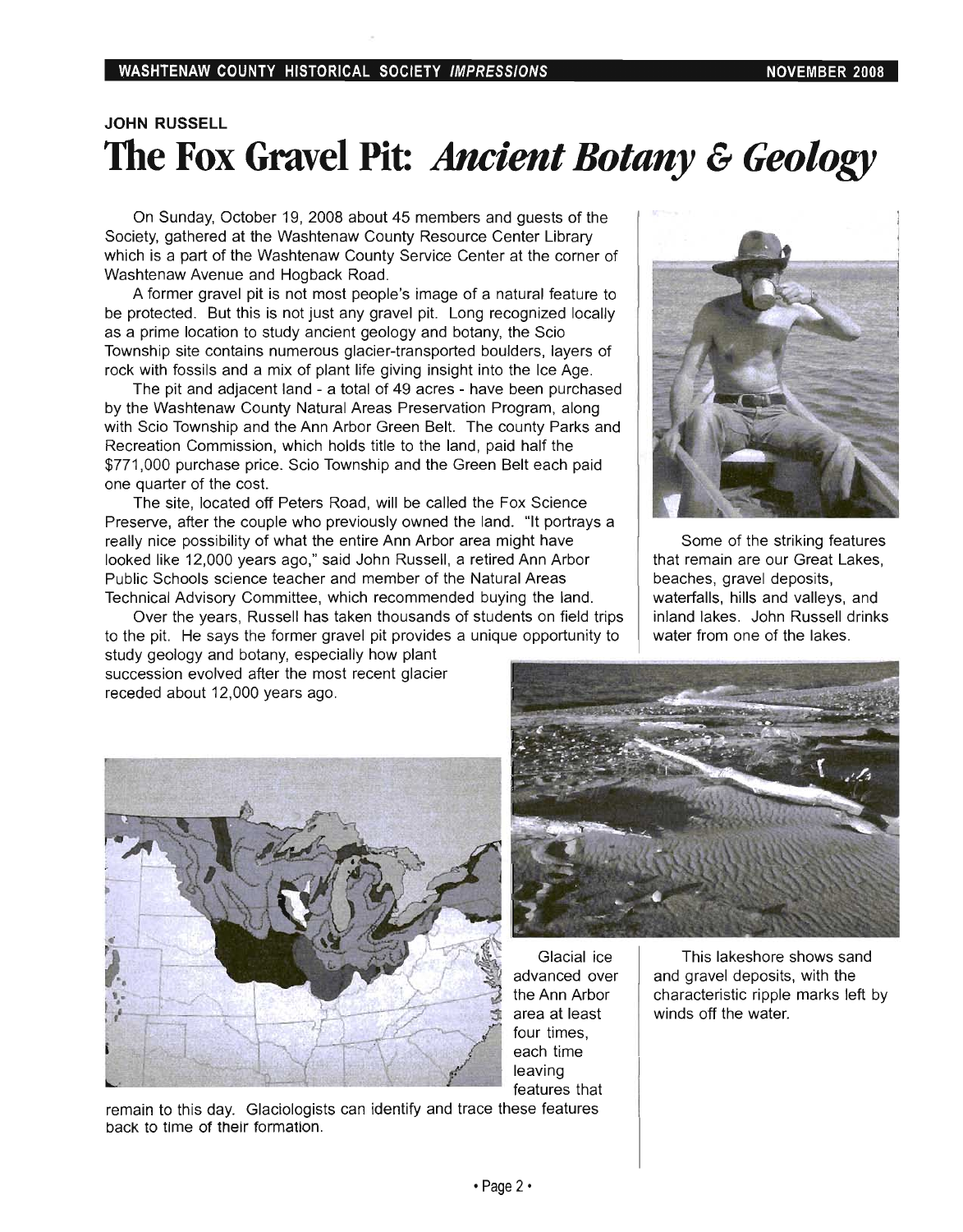### **JOHN RUSSELL The Fox Gravel Pit:** *Ancient Botany* **&** *Geology*

On Sunday, October 19, 2008 about 45 members and guests of the Society, gathered at the Washtenaw County Resource Center Library which is a part of the Washtenaw County Service Center at the corner of Washtenaw Avenue and Hogback Road.

A former gravel pit is not most people's image of a natural feature to be protected. But this is not just any gravel pit. Long recognized locally as a prime location to study ancient geology and botany, the Scio Township site contains numerous glacier-transported boulders, layers of rock with fossils and a mix of plant life giving insight into the Ice Age.

The pit and adjacent land - a total of 49 acres - have been purchased by the Washtenaw County Natural Areas Preservation Program, along with Scio Township and the Ann Arbor Green Belt. The county Parks and Recreation Commission, which holds title to the land, paid half the \$771 ,000 purchase price. Scio Township and the Green Belt each paid one quarter of the cost.

The site, located off Peters Road, will be called the Fox Science Preserve, after the couple who previously owned the land. "It portrays a really nice possibility of what the entire Ann Arbor area might have looked like 12,000 years ago," said John Russell, a retired Ann Arbor Public Schools science teacher and member of the Natural Areas Technical Advisory Committee, which recommended buying the land.

Over the years, Russell has taken thousands of students on field trips to the pit. He says the former gravel pit provides a unique opportunity to study geology and botany, especially how plant succession evolved after the most recent glacier



Some of the striking features that remain are our Great Lakes, beaches, gravel deposits, waterfalls, hills and valleys, and inland lakes. John Russell drinks water from one of the lakes.



receded about 12,000 years ago.

Glacial ice advanced over the Ann Arbor area at least four times, each time leaving features that

This lakeshore shows sand and gravel deposits, with the characteristic ripple marks left by winds off the water.

remain to this day. Glaciologists can identify and trace these features back to time of their formation.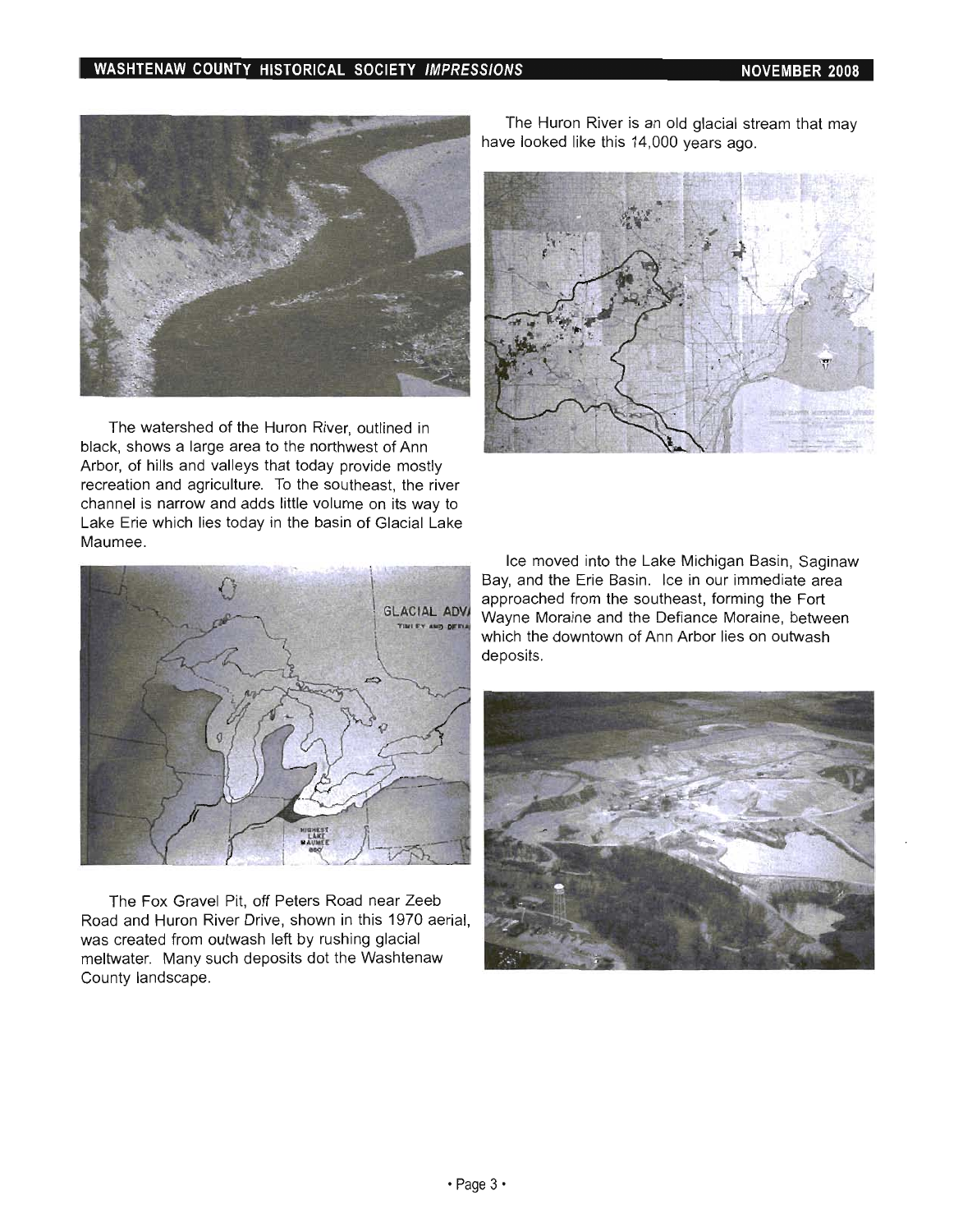#### **WASHTENAW COUNTY HISTORICAL SOCIETY IMPRESSIONS NOVEMBER 2008**



The watershed of the Huron River, outlined in black, shows a large area to the northwest of Ann Arbor, of hills and valleys that today provide mostly recreation and agriculture. To the southeast, the river channel is narrow and adds little volume on its way to Lake Erie which lies today in the basin of Glacial Lake Maumee.



The Fox Gravel Pit, off Peters Road near Zeeb Road and Huron River Drive, shown in this 1970 aerial, was created from outwash left by rushing glacial meltwater. Many such deposits dot the Washtenaw County landscape.

The Huron River is an old glacial stream that may have looked like this 14,000 years ago.



Ice moved into the Lake Michigan Basin, Saginaw Bay, and the Erie Basin. Ice in our immediate area approached from the southeast, forming the Fort Wayne Moraine and the Defiance Moraine, between which the downtown of Ann Arbor lies on outwash deposits.

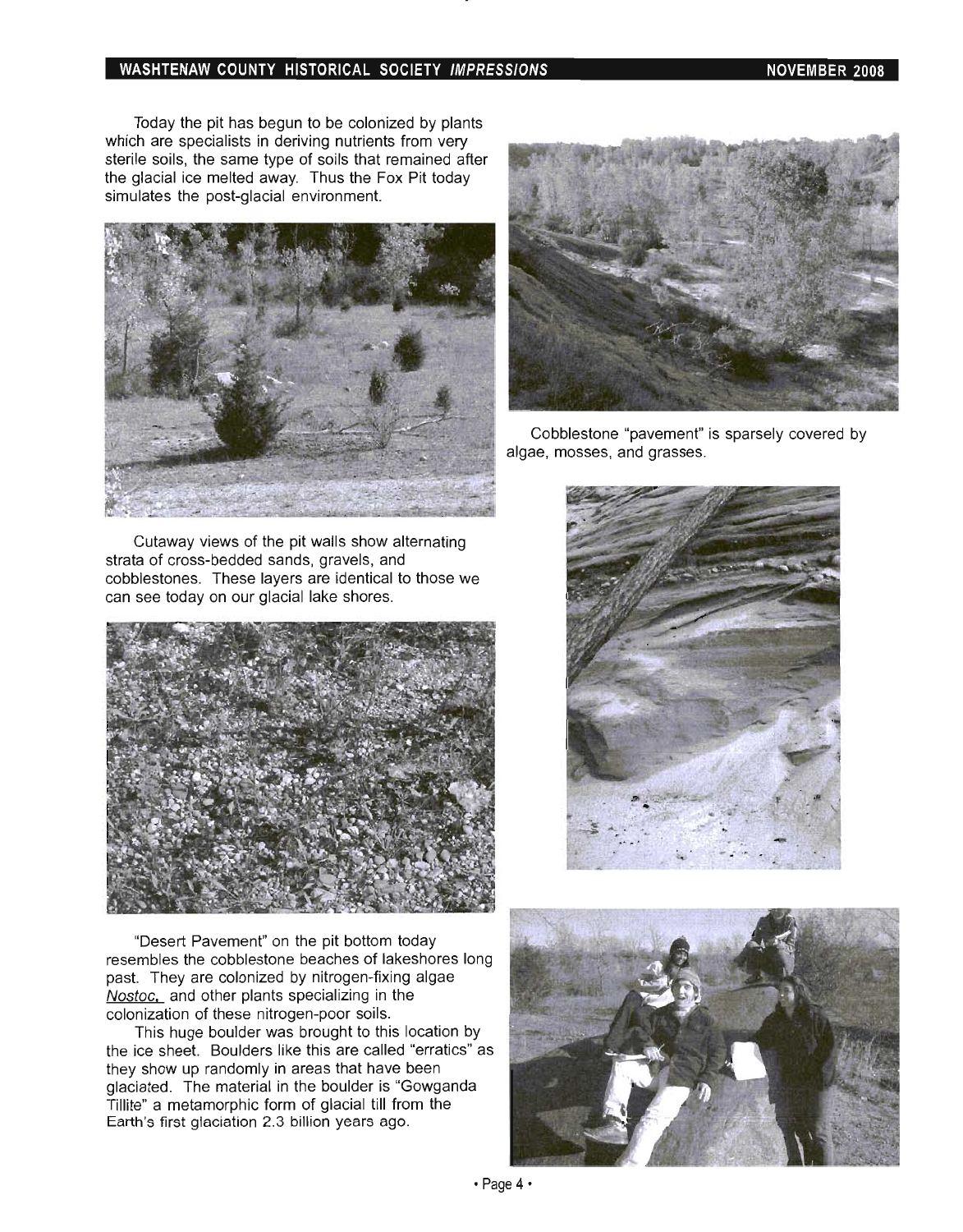#### WASHTENAW COUNTY HISTORICAL SOCIETY IMPRESSIONS NOWEMBER 2008

Today the pit has begun to be colonized by plants which are specialists in deriving nutrients from very sterile soils, the same type of soils that remained after the glacial ice melted away. Thus the Fox Pit today simulates the post-glacial environment.



Cutaway views of the pit walls show alternating strata of cross-bedded sands, gravels, and cobblestones. These layers are identical to those we can see today on our glacial lake shores.



"Desert Pavement" on the pit bottom today resembles the cobblestone beaches of lakeshores long past. They are colonized by nitrogen-fixing algae Nostoc. and other plants specializing in the colonization of these nitrogen-poor soils.

This huge boulder was brought to this location by the ice sheet. Boulders like this are called "erratics" as they show up randomly in areas that have been glaciated. The material in the boulder is "Gowganda Tillite" a metamorphic form of glacial till from the Earth's first glaciation 2.3 billion years ago.



Cobblestone "pavement" is sparsely covered by algae, mosses, and grasses.



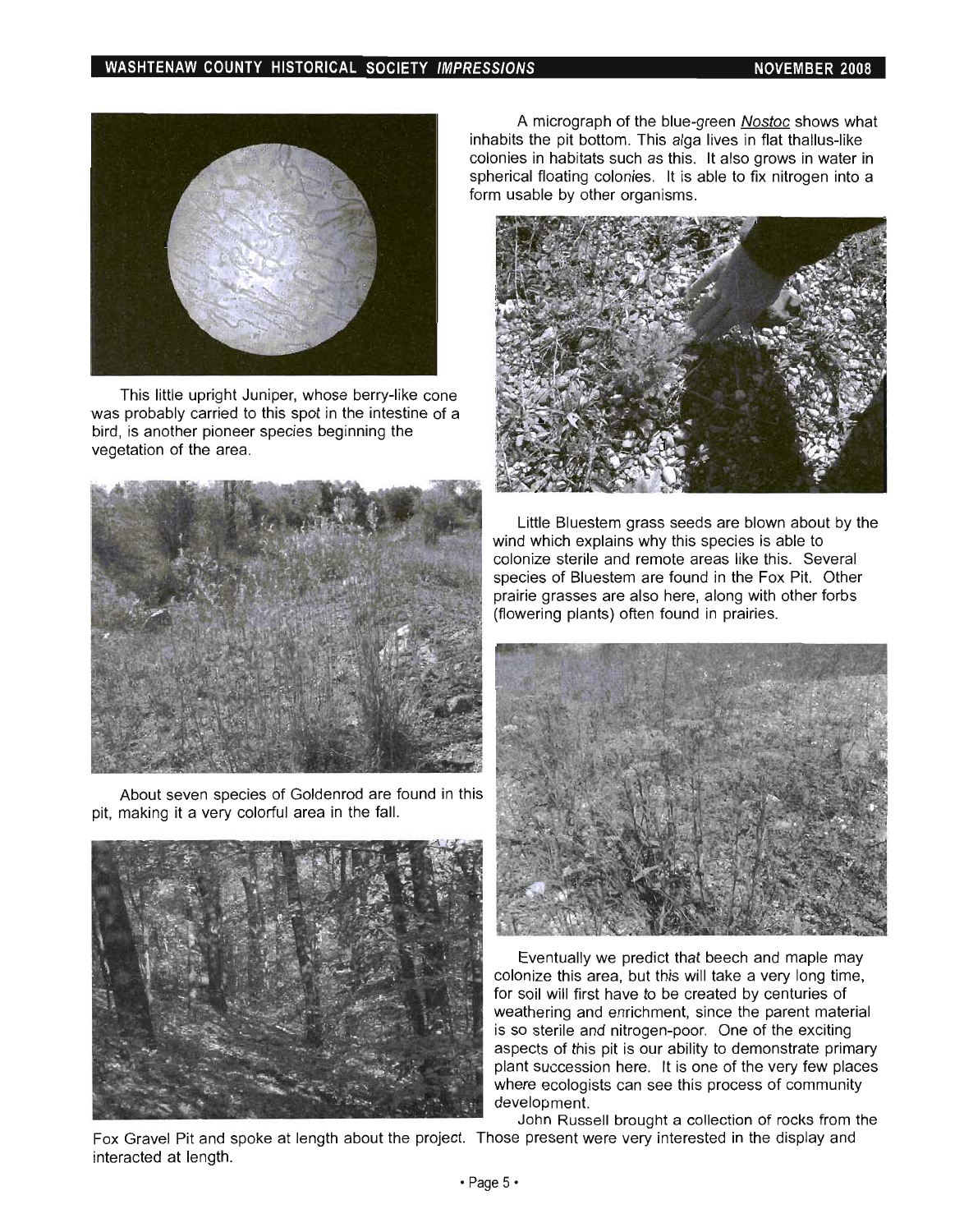

This little upright Juniper, whose berry-like cone was probably carried to this spot in the intestine of a bird, is another pioneer species beginning the vegetation of the area.



About seven species of Goldenrod are found in this pit, making it a very colorful area in the fall.



Fox Gravel Pit and spoke at length about the project. Those present were very interested in the display and interacted at length.

A micrograph of the blue-green Nostoc shows what inhabits the pit bottom. This alga lives in flat thallus-like colonies in habitats such as this. It also grows in water in spherical floating colonies. It is able to fix nitrogen into a form usable by other organisms.



Little Bluestem grass seeds are blown about by the wind which explains why this species is able to colonize sterile and remote areas like this. Several species of Bluestem are found in the Fox Pit. Other prairie grasses are also here, along with other forbs (flowering plants) often found in prairies.



Eventually we predict that beech and maple may colonize this area, but this will take a very long time, for soil will first have to be created by centuries of weathering and enrichment, since the parent material is so sterile and nitrogen-poor. One of the exciting aspects of this pit is our ability to demonstrate primary plant succession here. It is one of the very few places where ecologists can see this process of community development.

John Russell brought a collection of rocks from the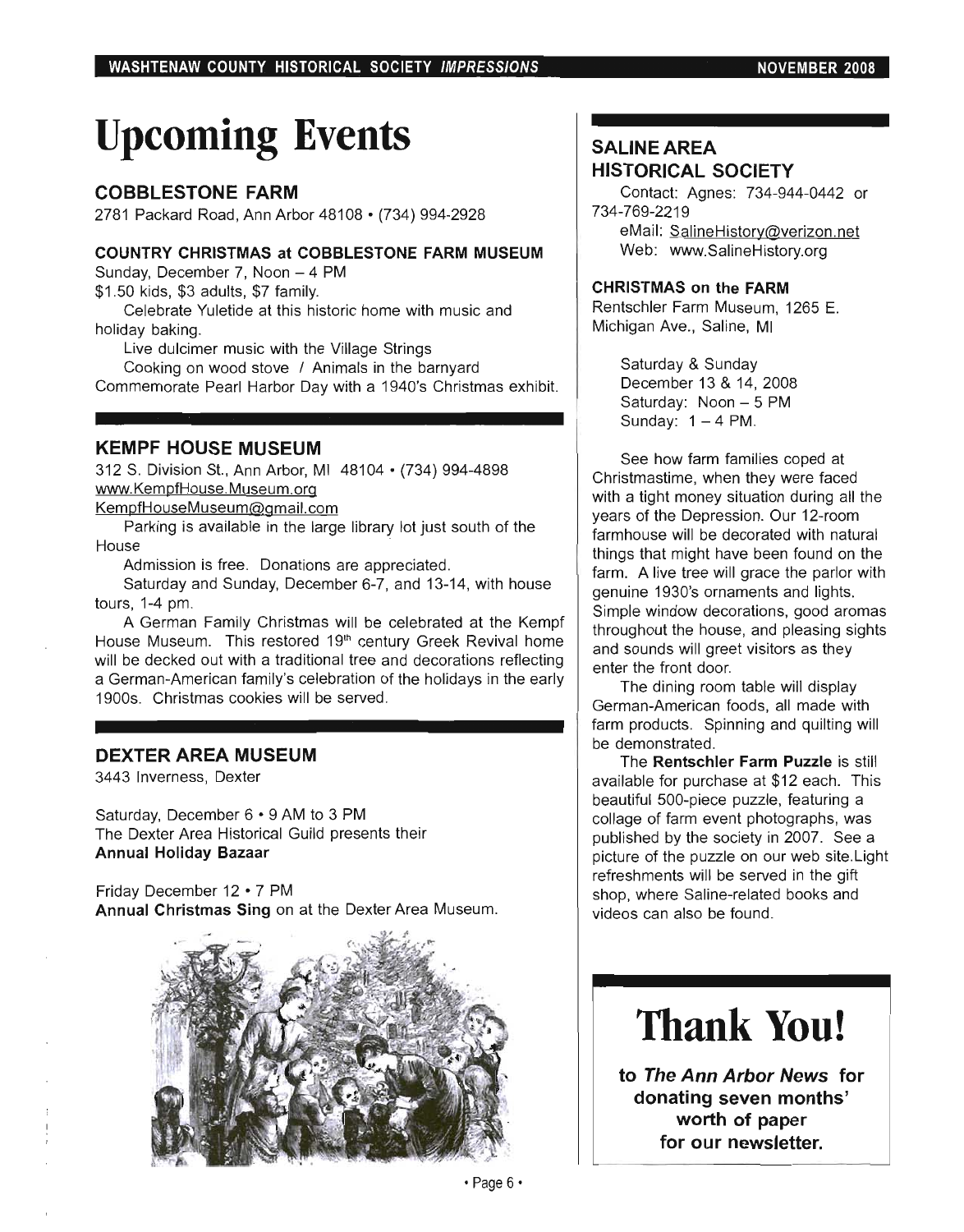# **Upcoming Events**

#### COBBLESTONE FARM

2781 Packard Road, Ann Arbor 48108· (734) 994-2928

#### COUNTRY CHRISTMAS at COBBLESTONE FARM MUSEUM

Sunday, December 7, Noon - 4 PM \$1 .50 kids, \$3 adults, \$7 family.

Celebrate Yuletide at this historic home with music and holiday baking.

Live dulcimer music with the Village Strings

Cooking on wood stove / Animals in the barnyard Commemorate Pearl Harbor Day with a 1940's Christmas exhibit.

#### KEMPF HOUSE MUSEUM

312 S. Division St., Ann Arbor, MI 48104· (734) 994-4898 www.KempfHouse.Museum.org

KempfHouseMuseum@gmail.com

Parking is available in the large library lot just south of the House

Admission is free. Donations are appreciated.

Saturday and Sunday, December 6-7, and 13-14, with house tours, 1-4 pm.

A German Family Christmas will be celebrated at the Kempf House Museum. This restored 19<sup>th</sup> century Greek Revival home will be decked out with a traditional tree and decorations reflecting a German-American family's celebration of the holidays in the early 1900s. Christmas cookies will be served.

#### DEXTER AREA MUSEUM

3443 Inverness, Dexter

Saturday, December 6 • 9 AM to 3 PM The Dexter Area Historical Guild presents their Annual Holiday Bazaar

Friday December 12 • 7 PM Annual Christmas Sing on at the Dexter Area Museum.



### SALINE AREA HISTORICAL SOCIETY

Contact: Agnes: 734-944-0442 or 734-769-2219 eMail: SalineHistory@verizon.net

Web: www.SalineHistory.org

#### CHRISTMAS on the FARM

Rentschler Farm Museum, 1265 E. Michigan Ave., Saline, MI

> Saturday & Sunday December 13 & 14, 2008 Saturday: Noon - 5 PM Sunday:  $1 - 4$  PM.

See how farm families coped at Christmastime, when they were faced with a tight money situation during all the years of the Depression. Our 12-room farmhouse will be decorated with natural things that might have been found on the farm. A live tree will grace the parlor with genuine 1930's ornaments and lights. Simple window decorations, good aromas throughout the house, and pleasing sights and sounds will greet visitors as they enter the front door.

The dining room table will display German-American foods, all made with farm products. Spinning and quilting will be demonstrated.

The Rentschler Farm Puzzle is still available for purchase at \$12 each. This beautiful 500-piece puzzle, featuring a collage of farm event photographs, was published by the society in 2007. See a picture of the puzzle on our web site. Light refreshments will be served in the gift shop, where Saline-related books and videos can also be found.

# **Thank You!**

to The Ann Arbor News for donating seven months' worth of paper for our newsletter.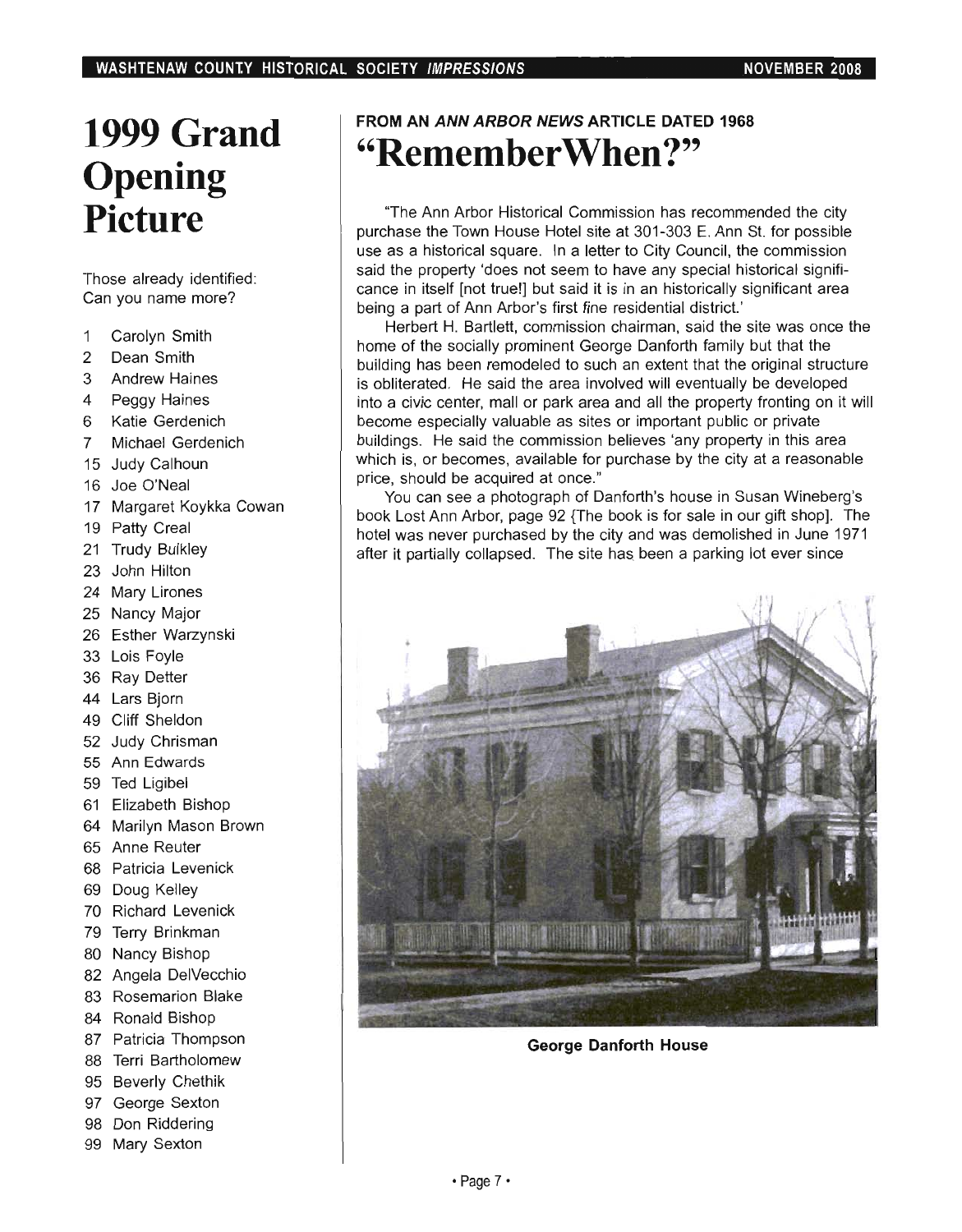### **1999 Grand Opening Picture**

Those already identified: iose aireaux identified

- $2<sub>1</sub>$  Carolyn Smith  $\overline{1}$ **2 Dean Street**
- $\overline{2}$
- Dean Smith<br>Andrew Haines 3
- Peggy Haines  $\overline{\mathbf{4}}$
- 6 Katie Gerdenich
- $\overline{7}$ Michael Gerdenich
- **1916 Julie Calhoun**  $16$  Judy Campan
- 
- 16 Joe O'Neal<br>17 Margaret Koykka Cowan
- 19 Patty Creal  $\frac{1}{2}$  Tally Block
- <sup>2</sup> John Hilton<br>Satura Hilton
- $24$  Mary Lincolness and  $24$
- 25 Nancy **Littleto**<br>25 Nancy March
- 
- 25 Nancy Major<br>26 Esther Warzynski
- $\sim$  Louis vers  $\frac{1}{2}$  Report Dynamics
- 36 Ray Detter<br>44 Lars Biorn
- 
- 49 Cliff Sheldon
- $\frac{1}{2}$  CHI Christian 5 July Christian<br>. . . <del>.</del>
- 55 Ann Edwards<br>59 Ted Ligibel
- 
- 61 Elizabeth Bishop
- 64 Marilyn March Brown  $\frac{1}{2}$  and  $\frac{1}{2}$  and  $\frac{1}{2}$  and  $\frac{1}{2}$
- 65 Anne Reuter<br>68 Patricia Levenick
- 
- 69 Doug Kelley
- 70 Richard Levenick  $7 \cdot 1$  Terrata Levernon
- 80 Nancy Bishop Reserved to 1991.<br>September 1992 Nancy Bishop Reserved to 1992.
- 
- 80 Nancy Bishop<br>82 Angela DelVecchio 83 Angela Berveedino<br>1. B
- $8 + 1000$
- 
- 84 Ronald Bishop<br>87 Patricia Thompson
- r amoia mompson 95 Beverly Chethika<br>15 Beverly Chethika
- 95 Beverly Chethik
- 97 George Sexton
- 98 Don Riddering<br>99 Mary Sexton
- 

### **FROM AN ANN ARBOR NEWS ARTICLE DATED 1968 "RememberWhen ?"**

''The Ann Arbor Historical Commission has recommended the city purchase the Town House House House House House Hotel site at  $301-301-301-301$ purchase the Town House Hotel site at 301-303 E. Ann St. for possible use as a historical square. In a letter to City Council, the commission said the property 'does not seem to have any special historical significance in itself [not true!] but said it is in an historically significant area<br>being a part of Ann Arbor's first fine residential district.' d part of Anii Anoor Shiist fille fesidential district.<br>The site was only the site was one that was one the site was one the site was only the site was only the site w

home of the social dangers of the social dangers and the social that the social that the social that the social that the social that the social that the social that the social that the social that the social that the socia home of the socially prominent George Danforth family but that the building has been remodeled to such an extent that the original structure is obliterated. He said the area involved will eventually be developed into a civic center, mall or park area and all the property fronting on it will become especially valuable as sites or important public or private buildings. He said the commission believes 'any property in this area which is, or becomes, available for purchase by the city at a reasonable price, should be acquired at once." Should be acquired at once.

book Lost Ann Arbor, page 92  $\sigma$  and book is for show and the book is the book is the book is for short shop. book Lost Ann Arbor, page 92 {The book is for sale in our gift shop]. The hotel was never purchased by the city and was demolished in June 1971 after it partially collapsed. The site has been a parking lot ever since



**George Danforth House**